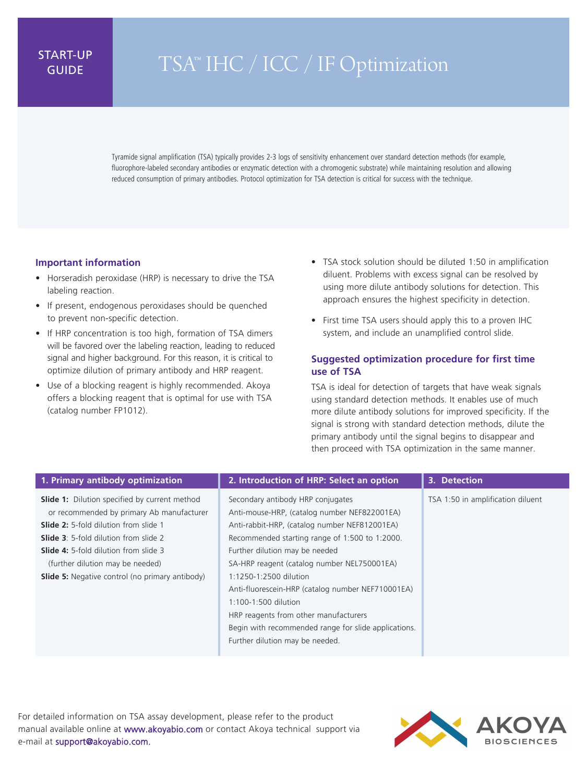## START-UP

## IARI-UP TSA™ IHC / ICC / IF Optimization

Tyramide signal amplification (TSA) typically provides 2-3 logs of sensitivity enhancement over standard detection methods (for example, fluorophore-labeled secondary antibodies or enzymatic detection with a chromogenic substrate) while maintaining resolution and allowing reduced consumption of primary antibodies. Protocol optimization for TSA detection is critical for success with the technique.

## **Important information**

- Horseradish peroxidase (HRP) is necessary to drive the TSA labeling reaction.
- If present, endogenous peroxidases should be quenched to prevent non-specific detection.
- If HRP concentration is too high, formation of TSA dimers will be favored over the labeling reaction, leading to reduced signal and higher background. For this reason, it is critical to optimize dilution of primary antibody and HRP reagent.
- Use of a blocking reagent is highly recommended. Akoya offers a blocking reagent that is optimal for use with TSA (catalog number FP1012).
- TSA stock solution should be diluted 1:50 in amplification diluent. Problems with excess signal can be resolved by using more dilute antibody solutions for detection. This approach ensures the highest specificity in detection.
- First time TSA users should apply this to a proven IHC system, and include an unamplified control slide.

## **Suggested optimization procedure for first time use of TSA**

TSA is ideal for detection of targets that have weak signals using standard detection methods. It enables use of much more dilute antibody solutions for improved specificity. If the signal is strong with standard detection methods, dilute the primary antibody until the signal begins to disappear and then proceed with TSA optimization in the same manner.

| 1. Primary antibody optimization                                                                                                                                                                                                                                                                                                                | 2. Introduction of HRP: Select an option                                                                                                                                                                                                                                                                                                                                                                                                                                                                         | 3. Detection                      |
|-------------------------------------------------------------------------------------------------------------------------------------------------------------------------------------------------------------------------------------------------------------------------------------------------------------------------------------------------|------------------------------------------------------------------------------------------------------------------------------------------------------------------------------------------------------------------------------------------------------------------------------------------------------------------------------------------------------------------------------------------------------------------------------------------------------------------------------------------------------------------|-----------------------------------|
| <b>Slide 1:</b> Dilution specified by current method<br>or recommended by primary Ab manufacturer<br><b>Slide 2:</b> 5-fold dilution from slide 1<br><b>Slide 3:</b> 5-fold dilution from slide 2<br><b>Slide 4:</b> 5-fold dilution from slide 3<br>(further dilution may be needed)<br><b>Slide 5:</b> Negative control (no primary antibody) | Secondary antibody HRP conjugates<br>Anti-mouse-HRP, (catalog number NEF822001EA)<br>Anti-rabbit-HRP, (catalog number NEF812001EA)<br>Recommended starting range of 1:500 to 1:2000.<br>Further dilution may be needed<br>SA-HRP reagent (catalog number NEL750001EA)<br>1:1250-1:2500 dilution<br>Anti-fluorescein-HRP (catalog number NEF710001EA)<br>1:100-1:500 dilution<br>HRP reagents from other manufacturers<br>Begin with recommended range for slide applications.<br>Further dilution may be needed. | TSA 1:50 in amplification diluent |

For detailed information on TSA assay development, please refer to the product manual available online at www.akoyabio.com or contact Akoya technical support via e-mail at support@akoyabio.com.